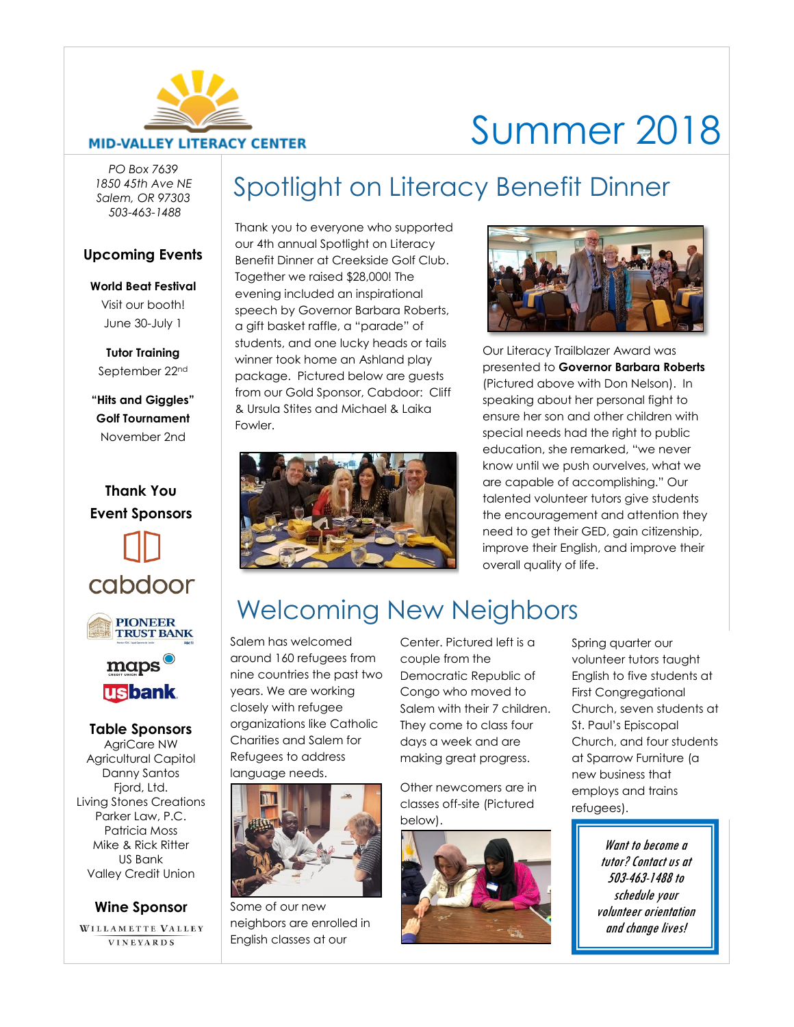

# Summer 2018

*PO Box 7639 1850 45th Ave NE Salem, OR 97303 503-463-1488*

#### **Upcoming Events**

**World Beat Festival** Visit our booth! June 30-July 1

**Tutor Training** September 22nd

**"Hits and Giggles" Golf Tournament** November 2nd



Agricultural Capitol Danny Santos Fiord, Ltd. Living Stones Creations Parker Law, P.C. Patricia Moss Mike & Rick Ritter US Bank Valley Credit Union

#### **Wine Sponsor**

WILLAMETTE VALLEY VINEYARDS

Spotlight on Literacy Benefit Dinner

Thank you to everyone who supported our 4th annual Spotlight on Literacy Benefit Dinner at Creekside Golf Club. Together we raised \$28,000! The evening included an inspirational speech by Governor Barbara Roberts, a gift basket raffle, a "parade" of students, and one lucky heads or tails winner took home an Ashland play package. Pictured below are guests from our Gold Sponsor, Cabdoor: Cliff & Ursula Stites and Michael & Laika Fowler.





Our Literacy Trailblazer Award was presented to **Governor Barbara Roberts** (Pictured above with Don Nelson). In speaking about her personal fight to ensure her son and other children with special needs had the right to public education, she remarked, "we never know until we push ourvelves, what we are capable of accomplishing." Our talented volunteer tutors give students the encouragement and attention they need to get their GED, gain citizenship, improve their English, and improve their overall quality of life.

# Welcoming New Neighbors

Salem has welcomed around 160 refugees from nine countries the past two years. We are working closely with refugee organizations like Catholic Charities and Salem for Refugees to address language needs.



Some of our new neighbors are enrolled in English classes at our

Center. Pictured left is a couple from the Democratic Republic of Congo who moved to Salem with their 7 children. They come to class four days a week and are making great progress.

Other newcomers are in classes off-site (Pictured below).



Spring quarter our volunteer tutors taught English to five students at First Congregational Church, seven students at St. Paul's Episcopal Church, and four students at Sparrow Furniture (a new business that employs and trains refugees).

> Want to become a tutor? Contact us at 503-463-1488 to schedule your volunteer orientation and change lives!